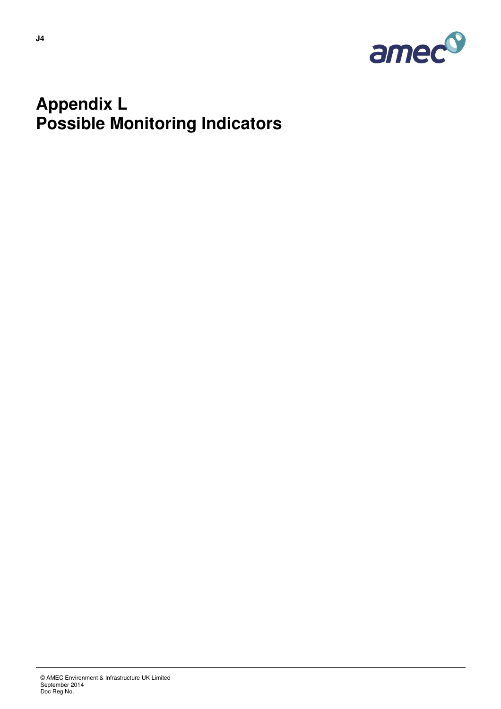

### **Appendix L Possible Monitoring Indicators**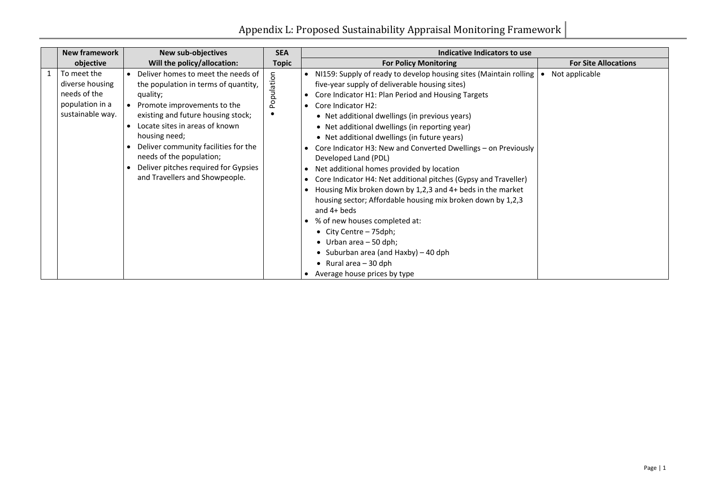|              | <b>New framework</b>                                                                  | <b>New sub-objectives</b>                                                                                                                                                                                                                                                                                                                                    | <b>SEA</b>   | Indicative Indicators to use                                                                                                                                                                                                                                                                                                                                                                                                                                                                                                                                                                                                                                                                                                                                                                                                                                                                                                                      |  |
|--------------|---------------------------------------------------------------------------------------|--------------------------------------------------------------------------------------------------------------------------------------------------------------------------------------------------------------------------------------------------------------------------------------------------------------------------------------------------------------|--------------|---------------------------------------------------------------------------------------------------------------------------------------------------------------------------------------------------------------------------------------------------------------------------------------------------------------------------------------------------------------------------------------------------------------------------------------------------------------------------------------------------------------------------------------------------------------------------------------------------------------------------------------------------------------------------------------------------------------------------------------------------------------------------------------------------------------------------------------------------------------------------------------------------------------------------------------------------|--|
|              | objective                                                                             | Will the policy/allocation:                                                                                                                                                                                                                                                                                                                                  | <b>Topic</b> | <b>For Site Allocations</b><br><b>For Policy Monitoring</b>                                                                                                                                                                                                                                                                                                                                                                                                                                                                                                                                                                                                                                                                                                                                                                                                                                                                                       |  |
| $\mathbf{1}$ | To meet the<br>diverse housing<br>needs of the<br>population in a<br>sustainable way. | Deliver homes to meet the needs of<br>the population in terms of quantity,<br>quality;<br>Promote improvements to the<br>existing and future housing stock;<br>Locate sites in areas of known<br>housing need;<br>Deliver community facilities for the<br>needs of the population;<br>Deliver pitches required for Gypsies<br>and Travellers and Showpeople. | Population   | Not applicable<br>NI159: Supply of ready to develop housing sites (Maintain rolling<br>five-year supply of deliverable housing sites)<br>Core Indicator H1: Plan Period and Housing Targets<br>Core Indicator H2:<br>$\bullet$<br>• Net additional dwellings (in previous years)<br>• Net additional dwellings (in reporting year)<br>• Net additional dwellings (in future years)<br>Core Indicator H3: New and Converted Dwellings - on Previously<br>Developed Land (PDL)<br>Net additional homes provided by location<br>Core Indicator H4: Net additional pitches (Gypsy and Traveller)<br>$\bullet$<br>Housing Mix broken down by 1,2,3 and 4+ beds in the market<br>housing sector; Affordable housing mix broken down by 1,2,3<br>and $4+$ beds<br>% of new houses completed at:<br>• City Centre - 75dph;<br>• Urban area $-50$ dph;<br>• Suburban area (and Haxby) $-$ 40 dph<br>• Rural area $-30$ dph<br>Average house prices by type |  |

|  | <b>For Site Allocations</b> |
|--|-----------------------------|
|  | Not applicable              |
|  |                             |
|  |                             |
|  |                             |
|  |                             |
|  |                             |
|  |                             |
|  |                             |
|  |                             |
|  |                             |
|  |                             |
|  |                             |
|  |                             |
|  |                             |
|  |                             |
|  |                             |
|  |                             |
|  |                             |
|  |                             |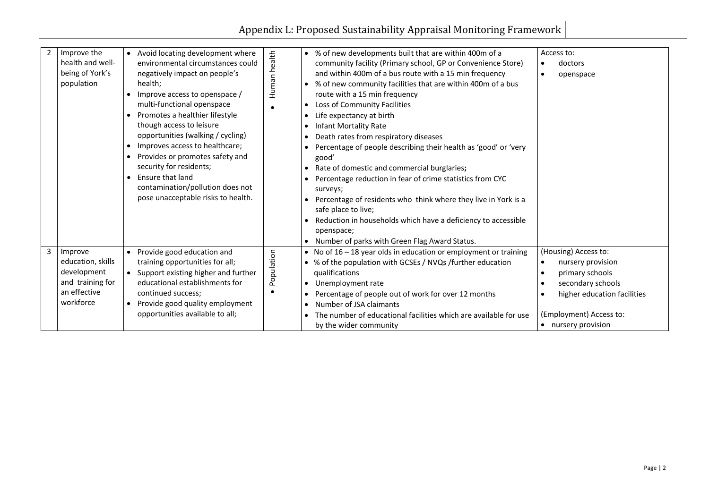| $\overline{2}$ | Improve the<br>health and well-<br>being of York's<br>population                             | Avoid locating development where<br>$\bullet$<br>environmental circumstances could<br>negatively impact on people's<br>health;<br>Improve access to openspace /<br>multi-functional openspace<br>Promotes a healthier lifestyle<br>$\bullet$<br>though access to leisure<br>opportunities (walking / cycling)<br>Improves access to healthcare;<br>$\bullet$<br>Provides or promotes safety and<br>$\bullet$<br>security for residents;<br>Ensure that land<br>$\bullet$<br>contamination/pollution does not<br>pose unacceptable risks to health. | Human health | • % of new developments built that are within 400m of a<br>community facility (Primary school, GP or Convenience Store)<br>and within 400m of a bus route with a 15 min frequency<br>% of new community facilities that are within 400m of a bus<br>$\bullet$<br>route with a 15 min frequency<br>Loss of Community Facilities<br>$\bullet$<br>Life expectancy at birth<br>$\bullet$<br><b>Infant Mortality Rate</b><br>$\bullet$<br>Death rates from respiratory diseases<br>$\bullet$<br>Percentage of people describing their health as 'good' or 'very<br>good'<br>Rate of domestic and commercial burglaries;<br>$\bullet$<br>Percentage reduction in fear of crime statistics from CYC<br>$\bullet$<br>surveys;<br>Percentage of residents who think where they live in York is a<br>safe place to live;<br>Reduction in households which have a deficiency to accessible<br>openspace;<br>Number of parks with Green Flag Award Status.<br>$\bullet$ |
|----------------|----------------------------------------------------------------------------------------------|----------------------------------------------------------------------------------------------------------------------------------------------------------------------------------------------------------------------------------------------------------------------------------------------------------------------------------------------------------------------------------------------------------------------------------------------------------------------------------------------------------------------------------------------------|--------------|-------------------------------------------------------------------------------------------------------------------------------------------------------------------------------------------------------------------------------------------------------------------------------------------------------------------------------------------------------------------------------------------------------------------------------------------------------------------------------------------------------------------------------------------------------------------------------------------------------------------------------------------------------------------------------------------------------------------------------------------------------------------------------------------------------------------------------------------------------------------------------------------------------------------------------------------------------------|
| 3              | Improve<br>education, skills<br>development<br>and training for<br>an effective<br>workforce | Provide good education and<br>$\bullet$<br>training opportunities for all;<br>Support existing higher and further<br>$\bullet$<br>educational establishments for<br>continued success;<br>Provide good quality employment<br>$\bullet$<br>opportunities available to all;                                                                                                                                                                                                                                                                          | Population   | No of $16 - 18$ year olds in education or employment or training<br>$\bullet$<br>% of the population with GCSEs / NVQs /further education<br>qualifications<br>Unemployment rate<br>$\bullet$<br>Percentage of people out of work for over 12 months<br>$\bullet$<br>Number of JSA claimants<br>$\bullet$<br>The number of educational facilities which are available for use<br>$\bullet$<br>by the wider community                                                                                                                                                                                                                                                                                                                                                                                                                                                                                                                                        |

| Access to: |                             |  |  |  |  |  |  |  |
|------------|-----------------------------|--|--|--|--|--|--|--|
|            | doctors                     |  |  |  |  |  |  |  |
|            | openspace                   |  |  |  |  |  |  |  |
|            |                             |  |  |  |  |  |  |  |
|            |                             |  |  |  |  |  |  |  |
|            |                             |  |  |  |  |  |  |  |
|            |                             |  |  |  |  |  |  |  |
|            |                             |  |  |  |  |  |  |  |
|            |                             |  |  |  |  |  |  |  |
|            |                             |  |  |  |  |  |  |  |
|            |                             |  |  |  |  |  |  |  |
|            |                             |  |  |  |  |  |  |  |
|            |                             |  |  |  |  |  |  |  |
|            |                             |  |  |  |  |  |  |  |
|            |                             |  |  |  |  |  |  |  |
|            |                             |  |  |  |  |  |  |  |
|            |                             |  |  |  |  |  |  |  |
|            |                             |  |  |  |  |  |  |  |
|            | (Housing) Access to:        |  |  |  |  |  |  |  |
|            | nursery provision           |  |  |  |  |  |  |  |
|            | primary schools             |  |  |  |  |  |  |  |
|            | secondary schools           |  |  |  |  |  |  |  |
|            | higher education facilities |  |  |  |  |  |  |  |
|            | (Employment) Access to:     |  |  |  |  |  |  |  |
|            | nursery provision           |  |  |  |  |  |  |  |
|            |                             |  |  |  |  |  |  |  |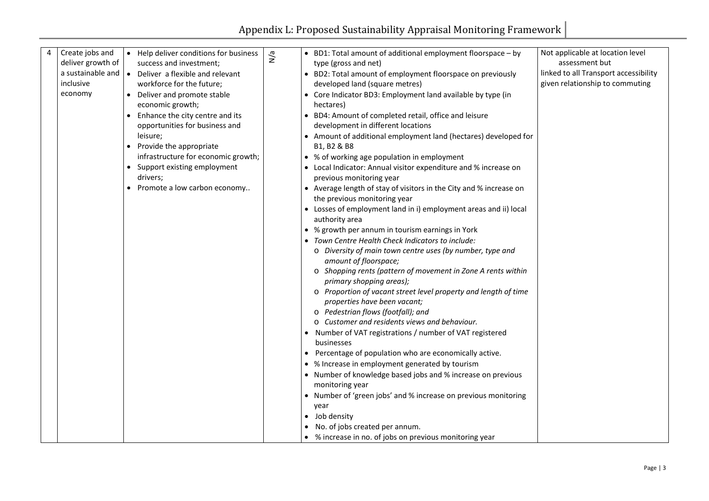| 4 | Create jobs and   | $\bullet$ | Help deliver conditions for business | N/a |           | • BD1: Total amount of additional employment floorspace - by             |
|---|-------------------|-----------|--------------------------------------|-----|-----------|--------------------------------------------------------------------------|
|   | deliver growth of |           | success and investment;              |     |           | type (gross and net)                                                     |
|   | a sustainable and | $\bullet$ | Deliver a flexible and relevant      |     | $\bullet$ | BD2: Total amount of employment floorspace on previously                 |
|   | inclusive         |           | workforce for the future;            |     |           | developed land (square metres)                                           |
|   | economy           | $\bullet$ | Deliver and promote stable           |     |           | Core Indicator BD3: Employment land available by type (in                |
|   |                   |           | economic growth;                     |     |           | hectares)                                                                |
|   |                   | $\bullet$ | Enhance the city centre and its      |     |           | BD4: Amount of completed retail, office and leisure                      |
|   |                   |           | opportunities for business and       |     |           | development in different locations                                       |
|   |                   |           | leisure;                             |     |           | • Amount of additional employment land (hectares) developed for          |
|   |                   | $\bullet$ | Provide the appropriate              |     |           | B1, B2 & B8                                                              |
|   |                   |           | infrastructure for economic growth;  |     |           | • % of working age population in employment                              |
|   |                   | $\bullet$ | Support existing employment          |     |           | Local Indicator: Annual visitor expenditure and % increase on            |
|   |                   |           | drivers;                             |     |           | previous monitoring year                                                 |
|   |                   | $\bullet$ | Promote a low carbon economy         |     |           | • Average length of stay of visitors in the City and % increase on       |
|   |                   |           |                                      |     |           | the previous monitoring year                                             |
|   |                   |           |                                      |     | $\bullet$ | Losses of employment land in i) employment areas and ii) local           |
|   |                   |           |                                      |     |           | authority area                                                           |
|   |                   |           |                                      |     |           | • % growth per annum in tourism earnings in York                         |
|   |                   |           |                                      |     |           | Town Centre Health Check Indicators to include:                          |
|   |                   |           |                                      |     |           | Diversity of main town centre uses (by number, type and<br>$\circ$       |
|   |                   |           |                                      |     |           | amount of floorspace;                                                    |
|   |                   |           |                                      |     |           | Shopping rents (pattern of movement in Zone A rents within<br>$\circ$    |
|   |                   |           |                                      |     |           | primary shopping areas);                                                 |
|   |                   |           |                                      |     |           | Proportion of vacant street level property and length of time<br>$\circ$ |
|   |                   |           |                                      |     |           | properties have been vacant;                                             |
|   |                   |           |                                      |     |           | ○ Pedestrian flows (footfall); and                                       |
|   |                   |           |                                      |     |           | Customer and residents views and behaviour.<br>$\circ$                   |
|   |                   |           |                                      |     | $\bullet$ | Number of VAT registrations / number of VAT registered                   |
|   |                   |           |                                      |     |           | businesses                                                               |
|   |                   |           |                                      |     |           | Percentage of population who are economically active.                    |
|   |                   |           |                                      |     |           | • % Increase in employment generated by tourism                          |
|   |                   |           |                                      |     | $\bullet$ | Number of knowledge based jobs and % increase on previous                |
|   |                   |           |                                      |     |           | monitoring year                                                          |
|   |                   |           |                                      |     |           | Number of 'green jobs' and % increase on previous monitoring             |
|   |                   |           |                                      |     |           | year                                                                     |
|   |                   |           |                                      |     |           | Job density                                                              |
|   |                   |           |                                      |     |           | No. of jobs created per annum.                                           |
|   |                   |           |                                      |     |           | % increase in no. of jobs on previous monitoring year                    |

Not applicable at location level assessment but linked to all Transport accessibility given relationship to commuting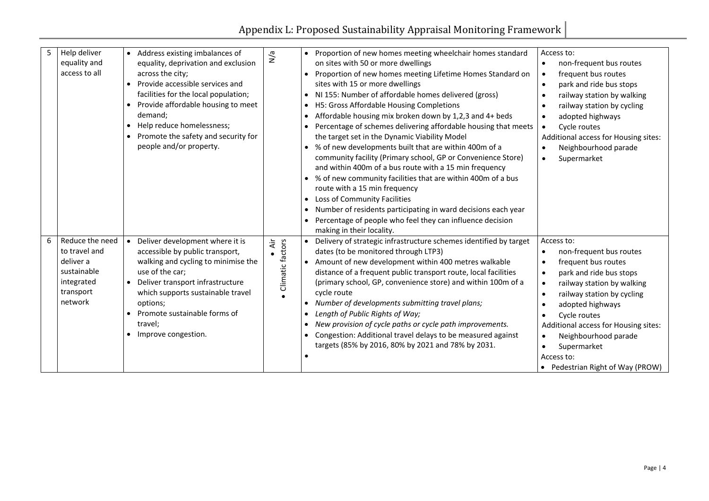| 5 | Help deliver<br>equality and<br>access to all                                                      | Address existing imbalances of<br>$\bullet$<br>equality, deprivation and exclusion<br>across the city;<br>Provide accessible services and<br>facilities for the local population;<br>Provide affordable housing to meet<br>demand;<br>Help reduce homelessness;<br>$\bullet$<br>Promote the safety and security for<br>people and/or property. | N/a                     | Proportion of new homes meeting wheelchair homes standard<br>$\bullet$<br>on sites with 50 or more dwellings<br>Proportion of new homes meeting Lifetime Homes Standard on<br>sites with 15 or more dwellings<br>NI 155: Number of affordable homes delivered (gross)<br>H5: Gross Affordable Housing Completions<br>$\bullet$<br>Affordable housing mix broken down by 1,2,3 and 4+ beds<br>Percentage of schemes delivering affordable housing that meets<br>the target set in the Dynamic Viability Model<br>% of new developments built that are within 400m of a<br>community facility (Primary school, GP or Convenience Store)<br>and within 400m of a bus route with a 15 min frequency<br>% of new community facilities that are within 400m of a bus<br>route with a 15 min frequency<br>Loss of Community Facilities<br>Number of residents participating in ward decisions each year<br>Percentage of people who feel they can influence decision<br>making in their locality. |
|---|----------------------------------------------------------------------------------------------------|------------------------------------------------------------------------------------------------------------------------------------------------------------------------------------------------------------------------------------------------------------------------------------------------------------------------------------------------|-------------------------|--------------------------------------------------------------------------------------------------------------------------------------------------------------------------------------------------------------------------------------------------------------------------------------------------------------------------------------------------------------------------------------------------------------------------------------------------------------------------------------------------------------------------------------------------------------------------------------------------------------------------------------------------------------------------------------------------------------------------------------------------------------------------------------------------------------------------------------------------------------------------------------------------------------------------------------------------------------------------------------------|
| 6 | Reduce the need<br>to travel and<br>deliver a<br>sustainable<br>integrated<br>transport<br>network | Deliver development where it is<br>$\bullet$<br>accessible by public transport,<br>walking and cycling to minimise the<br>use of the car;<br>Deliver transport infrastructure<br>$\bullet$<br>which supports sustainable travel<br>options;<br>Promote sustainable forms of<br>travel;<br>Improve congestion.<br>$\bullet$                     | Äir<br>Climatic factors | Delivery of strategic infrastructure schemes identified by target<br>dates (to be monitored through LTP3)<br>Amount of new development within 400 metres walkable<br>distance of a frequent public transport route, local facilities<br>(primary school, GP, convenience store) and within 100m of a<br>cycle route<br>Number of developments submitting travel plans;<br>Length of Public Rights of Way;<br>New provision of cycle paths or cycle path improvements.<br>Congestion: Additional travel delays to be measured against<br>targets (85% by 2016, 80% by 2021 and 78% by 2031.                                                                                                                                                                                                                                                                                                                                                                                                 |

| :work |
|-------|
|-------|

| Access to: |                                      |  |  |  |  |  |  |  |  |
|------------|--------------------------------------|--|--|--|--|--|--|--|--|
|            | non-frequent bus routes              |  |  |  |  |  |  |  |  |
|            | frequent bus routes                  |  |  |  |  |  |  |  |  |
|            | park and ride bus stops              |  |  |  |  |  |  |  |  |
|            | railway station by walking           |  |  |  |  |  |  |  |  |
|            | railway station by cycling           |  |  |  |  |  |  |  |  |
|            | adopted highways                     |  |  |  |  |  |  |  |  |
|            | <b>Cycle routes</b>                  |  |  |  |  |  |  |  |  |
|            | Additional access for Housing sites: |  |  |  |  |  |  |  |  |
|            | Neighbourhood parade                 |  |  |  |  |  |  |  |  |
|            | Supermarket                          |  |  |  |  |  |  |  |  |
|            |                                      |  |  |  |  |  |  |  |  |
|            |                                      |  |  |  |  |  |  |  |  |
|            |                                      |  |  |  |  |  |  |  |  |
|            |                                      |  |  |  |  |  |  |  |  |
|            |                                      |  |  |  |  |  |  |  |  |
|            |                                      |  |  |  |  |  |  |  |  |
|            | Access to:                           |  |  |  |  |  |  |  |  |
|            | non-frequent bus routes              |  |  |  |  |  |  |  |  |
|            | frequent bus routes                  |  |  |  |  |  |  |  |  |
|            | park and ride bus stops              |  |  |  |  |  |  |  |  |
|            | railway station by walking           |  |  |  |  |  |  |  |  |
|            | railway station by cycling           |  |  |  |  |  |  |  |  |
|            | adopted highways                     |  |  |  |  |  |  |  |  |
|            | <b>Cycle routes</b>                  |  |  |  |  |  |  |  |  |
|            | Additional access for Housing sites: |  |  |  |  |  |  |  |  |
|            | Neighbourhood parade                 |  |  |  |  |  |  |  |  |
|            | Supermarket                          |  |  |  |  |  |  |  |  |
|            | Access to:                           |  |  |  |  |  |  |  |  |
|            | Pedestrian Right of Way (PROW)       |  |  |  |  |  |  |  |  |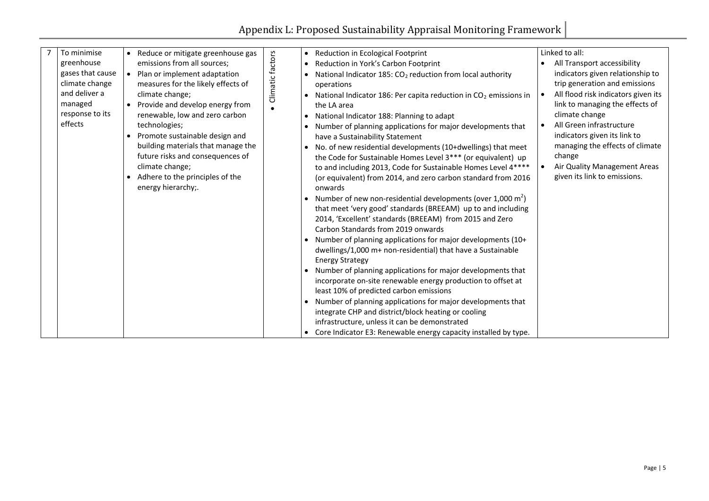|  | To minimise                        | $\bullet$ | Reduce or mitigate greenhouse gas                                  |                  | $\bullet$ | Reduction in Ecological Footprint                                                                                           |           | Linked to all:                                                         |
|--|------------------------------------|-----------|--------------------------------------------------------------------|------------------|-----------|-----------------------------------------------------------------------------------------------------------------------------|-----------|------------------------------------------------------------------------|
|  | greenhouse                         |           | emissions from all sources;                                        |                  | $\bullet$ | Reduction in York's Carbon Footprint                                                                                        |           | All Transport accessibility                                            |
|  | gases that cause<br>climate change | $\bullet$ | Plan or implement adaptation<br>measures for the likely effects of | Climatic factors |           | National Indicator 185: $CO2$ reduction from local authority<br>operations                                                  |           | indicators given relationship to<br>trip generation and emissions      |
|  | and deliver a<br>managed           |           | climate change;<br>Provide and develop energy from                 |                  |           | National Indicator 186: Per capita reduction in $CO2$ emissions in<br>the LA area                                           | $\bullet$ | All flood risk indicators given its<br>link to managing the effects of |
|  | response to its                    |           | renewable, low and zero carbon                                     |                  |           | National Indicator 188: Planning to adapt                                                                                   |           | climate change                                                         |
|  | effects                            |           | technologies;                                                      |                  |           | Number of planning applications for major developments that                                                                 | $\bullet$ | All Green infrastructure                                               |
|  |                                    |           | Promote sustainable design and                                     |                  |           | have a Sustainability Statement                                                                                             |           | indicators given its link to                                           |
|  |                                    |           | building materials that manage the                                 |                  |           | No. of new residential developments (10+dwellings) that meet                                                                |           | managing the effects of climate                                        |
|  |                                    |           | future risks and consequences of                                   |                  |           | the Code for Sustainable Homes Level 3*** (or equivalent) up                                                                |           | change                                                                 |
|  |                                    |           | climate change;                                                    |                  |           | to and including 2013, Code for Sustainable Homes Level 4****                                                               |           | <b>Air Quality Management Areas</b>                                    |
|  |                                    |           | Adhere to the principles of the<br>energy hierarchy;.              |                  |           | (or equivalent) from 2014, and zero carbon standard from 2016<br>onwards                                                    |           | given its link to emissions.                                           |
|  |                                    |           |                                                                    |                  |           | Number of new non-residential developments (over 1,000 m <sup>2</sup> )                                                     |           |                                                                        |
|  |                                    |           |                                                                    |                  |           | that meet 'very good' standards (BREEAM) up to and including                                                                |           |                                                                        |
|  |                                    |           |                                                                    |                  |           | 2014, 'Excellent' standards (BREEAM) from 2015 and Zero                                                                     |           |                                                                        |
|  |                                    |           |                                                                    |                  |           | Carbon Standards from 2019 onwards                                                                                          |           |                                                                        |
|  |                                    |           |                                                                    |                  |           | Number of planning applications for major developments (10+                                                                 |           |                                                                        |
|  |                                    |           |                                                                    |                  |           | dwellings/1,000 m+ non-residential) that have a Sustainable                                                                 |           |                                                                        |
|  |                                    |           |                                                                    |                  |           | <b>Energy Strategy</b>                                                                                                      |           |                                                                        |
|  |                                    |           |                                                                    |                  |           | Number of planning applications for major developments that<br>incorporate on-site renewable energy production to offset at |           |                                                                        |
|  |                                    |           |                                                                    |                  |           | least 10% of predicted carbon emissions                                                                                     |           |                                                                        |
|  |                                    |           |                                                                    |                  |           | Number of planning applications for major developments that                                                                 |           |                                                                        |
|  |                                    |           |                                                                    |                  |           | integrate CHP and district/block heating or cooling                                                                         |           |                                                                        |
|  |                                    |           |                                                                    |                  |           | infrastructure, unless it can be demonstrated                                                                               |           |                                                                        |
|  |                                    |           |                                                                    |                  | $\bullet$ | Core Indicator E3: Renewable energy capacity installed by type.                                                             |           |                                                                        |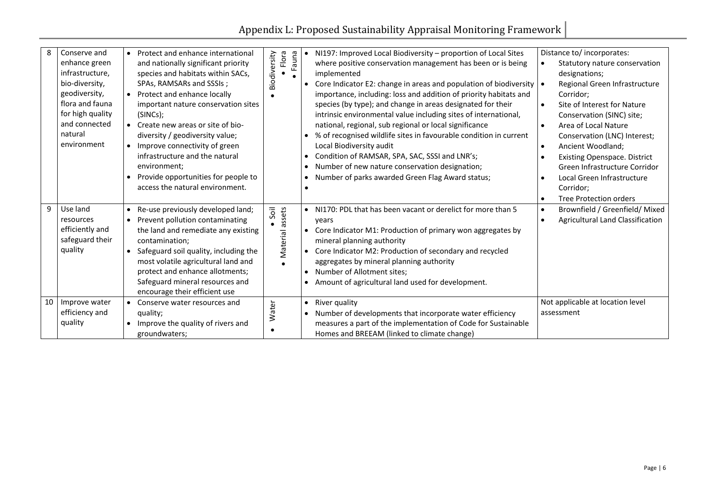| 8  | Conserve and<br>enhance green<br>infrastructure,<br>bio-diversity,<br>geodiversity,<br>flora and fauna<br>for high quality<br>and connected<br>natural<br>environment | Protect and enhance international<br>and nationally significant priority<br>species and habitats within SACs,<br>SPAs, RAMSARs and SSSIs;<br>Protect and enhance locally<br>$\bullet$<br>important nature conservation sites<br>(SINCs);<br>Create new areas or site of bio-<br>$\bullet$<br>diversity / geodiversity value;<br>Improve connectivity of green<br>$\bullet$<br>infrastructure and the natural<br>environment;<br>Provide opportunities for people to<br>$\bullet$<br>access the natural environment. | Flora<br>Biodiversity<br>Fauna | NI197: Improved Local Biodiversity - proportion of Local Sites<br>where positive conservation management has been or is being<br>implemented<br>Core Indicator E2: change in areas and population of biodiversity<br>importance, including: loss and addition of priority habitats and<br>species (by type); and change in areas designated for their<br>intrinsic environmental value including sites of international,<br>national, regional, sub regional or local significance<br>% of recognised wildlife sites in favourable condition in current<br>Local Biodiversity audit<br>Condition of RAMSAR, SPA, SAC, SSSI and LNR's;<br>Number of new nature conservation designation;<br>Number of parks awarded Green Flag Award status; |
|----|-----------------------------------------------------------------------------------------------------------------------------------------------------------------------|---------------------------------------------------------------------------------------------------------------------------------------------------------------------------------------------------------------------------------------------------------------------------------------------------------------------------------------------------------------------------------------------------------------------------------------------------------------------------------------------------------------------|--------------------------------|---------------------------------------------------------------------------------------------------------------------------------------------------------------------------------------------------------------------------------------------------------------------------------------------------------------------------------------------------------------------------------------------------------------------------------------------------------------------------------------------------------------------------------------------------------------------------------------------------------------------------------------------------------------------------------------------------------------------------------------------|
| 9  | Use land<br>resources<br>efficiently and<br>safeguard their<br>quality                                                                                                | Re-use previously developed land;<br>$\bullet$<br>Prevent pollution contaminating<br>$\bullet$<br>the land and remediate any existing<br>contamination;<br>Safeguard soil quality, including the<br>$\bullet$<br>most volatile agricultural land and<br>protect and enhance allotments;<br>Safeguard mineral resources and<br>encourage their efficient use                                                                                                                                                         | · Material assets<br>Soil      | NI170: PDL that has been vacant or derelict for more than 5<br>years<br>Core Indicator M1: Production of primary won aggregates by<br>mineral planning authority<br>Core Indicator M2: Production of secondary and recycled<br>$\bullet$<br>aggregates by mineral planning authority<br>Number of Allotment sites;<br>$\bullet$<br>Amount of agricultural land used for development.                                                                                                                                                                                                                                                                                                                                                        |
| 10 | Improve water<br>efficiency and<br>quality                                                                                                                            | Conserve water resources and<br>$\bullet$<br>quality;<br>Improve the quality of rivers and<br>groundwaters;                                                                                                                                                                                                                                                                                                                                                                                                         | Water                          | River quality<br>$\bullet$<br>Number of developments that incorporate water efficiency<br>measures a part of the implementation of Code for Sustainable<br>Homes and BREEAM (linked to climate change)                                                                                                                                                                                                                                                                                                                                                                                                                                                                                                                                      |

| Distance to/ incorporates:              |  |  |  |  |  |  |  |
|-----------------------------------------|--|--|--|--|--|--|--|
| Statutory nature conservation           |  |  |  |  |  |  |  |
| designations;                           |  |  |  |  |  |  |  |
| Regional Green Infrastructure           |  |  |  |  |  |  |  |
| Corridor;                               |  |  |  |  |  |  |  |
| Site of Interest for Nature             |  |  |  |  |  |  |  |
| Conservation (SINC) site;               |  |  |  |  |  |  |  |
| <b>Area of Local Nature</b>             |  |  |  |  |  |  |  |
| Conservation (LNC) Interest;            |  |  |  |  |  |  |  |
| Ancient Woodland;                       |  |  |  |  |  |  |  |
| <b>Existing Openspace. District</b>     |  |  |  |  |  |  |  |
| Green Infrastructure Corridor           |  |  |  |  |  |  |  |
| Local Green Infrastructure              |  |  |  |  |  |  |  |
| Corridor;                               |  |  |  |  |  |  |  |
| <b>Tree Protection orders</b>           |  |  |  |  |  |  |  |
| Brownfield / Greenfield/ Mixed          |  |  |  |  |  |  |  |
| <b>Agricultural Land Classification</b> |  |  |  |  |  |  |  |
|                                         |  |  |  |  |  |  |  |
|                                         |  |  |  |  |  |  |  |
|                                         |  |  |  |  |  |  |  |
|                                         |  |  |  |  |  |  |  |
|                                         |  |  |  |  |  |  |  |
|                                         |  |  |  |  |  |  |  |
|                                         |  |  |  |  |  |  |  |
| Not applicable at location level        |  |  |  |  |  |  |  |
| assessment                              |  |  |  |  |  |  |  |
|                                         |  |  |  |  |  |  |  |
|                                         |  |  |  |  |  |  |  |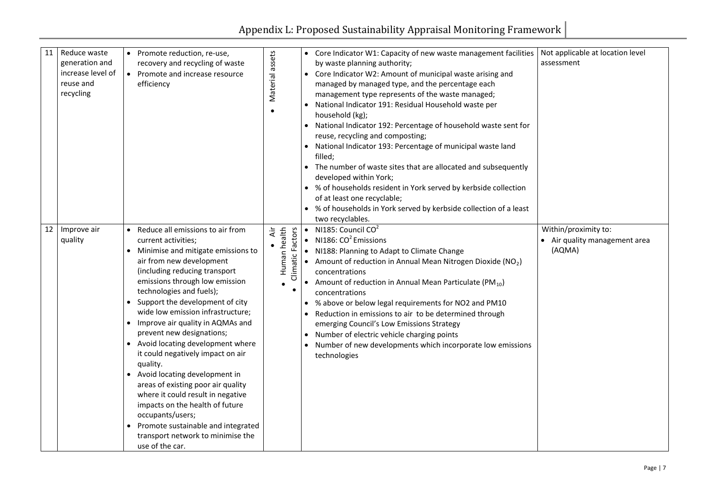| 11 | Reduce waste<br>generation and<br>increase level of<br>reuse and<br>recycling | Promote reduction, re-use,<br>$\bullet$<br>recovery and recycling of waste<br>Promote and increase resource<br>$\bullet$<br>efficiency                                                                                                                                                                                                                                                                                                                                                                                                                                                                                                                                                                                                                                      | assets<br>Material                                   | Core Indicator W1: Capacity of new waste management facilities<br>by waste planning authority;<br>Core Indicator W2: Amount of municipal waste arising and<br>managed by managed type, and the percentage each<br>management type represents of the waste managed;<br>National Indicator 191: Residual Household waste per<br>household (kg);<br>National Indicator 192: Percentage of household waste sent for<br>reuse, recycling and composting;<br>National Indicator 193: Percentage of municipal waste land<br>filled;<br>The number of waste sites that are allocated and subsequently<br>developed within York;<br>• % of households resident in York served by kerbside collection<br>of at least one recyclable;<br>% of households in York served by kerbside collection of a least<br>two recyclables. |
|----|-------------------------------------------------------------------------------|-----------------------------------------------------------------------------------------------------------------------------------------------------------------------------------------------------------------------------------------------------------------------------------------------------------------------------------------------------------------------------------------------------------------------------------------------------------------------------------------------------------------------------------------------------------------------------------------------------------------------------------------------------------------------------------------------------------------------------------------------------------------------------|------------------------------------------------------|--------------------------------------------------------------------------------------------------------------------------------------------------------------------------------------------------------------------------------------------------------------------------------------------------------------------------------------------------------------------------------------------------------------------------------------------------------------------------------------------------------------------------------------------------------------------------------------------------------------------------------------------------------------------------------------------------------------------------------------------------------------------------------------------------------------------|
| 12 | Improve air<br>quality                                                        | Reduce all emissions to air from<br>$\bullet$<br>current activities;<br>Minimise and mitigate emissions to<br>air from new development<br>(including reducing transport<br>emissions through low emission<br>technologies and fuels);<br>Support the development of city<br>wide low emission infrastructure;<br>Improve air quality in AQMAs and<br>prevent new designations;<br>Avoid locating development where<br>$\bullet$<br>it could negatively impact on air<br>quality.<br>Avoid locating development in<br>$\bullet$<br>areas of existing poor air quality<br>where it could result in negative<br>impacts on the health of future<br>occupants/users;<br>Promote sustainable and integrated<br>$\bullet$<br>transport network to minimise the<br>use of the car. | Human health<br>Climatic Factors<br>Äir<br>$\bullet$ | • NI185: Council $CO2$<br>NI186: $CO2$ Emissions<br>NI188: Planning to Adapt to Climate Change<br>Amount of reduction in Annual Mean Nitrogen Dioxide (NO <sub>2</sub> )<br>concentrations<br>Amount of reduction in Annual Mean Particulate (PM <sub>10</sub> )<br>concentrations<br>% above or below legal requirements for NO2 and PM10<br>Reduction in emissions to air to be determined through<br>emerging Council's Low Emissions Strategy<br>Number of electric vehicle charging points<br>Number of new developments which incorporate low emissions<br>technologies                                                                                                                                                                                                                                      |

| Not applicable at location level |
|----------------------------------|
| assessment                       |
|                                  |
|                                  |
|                                  |
|                                  |
|                                  |
|                                  |
|                                  |
|                                  |
|                                  |
|                                  |
|                                  |
|                                  |
|                                  |
| Within/proximity to:             |
| Air quality management area      |
| (AQMA)                           |
|                                  |
|                                  |
|                                  |
|                                  |
|                                  |
|                                  |
|                                  |
|                                  |
|                                  |
|                                  |
|                                  |
|                                  |
|                                  |
|                                  |
|                                  |
|                                  |
|                                  |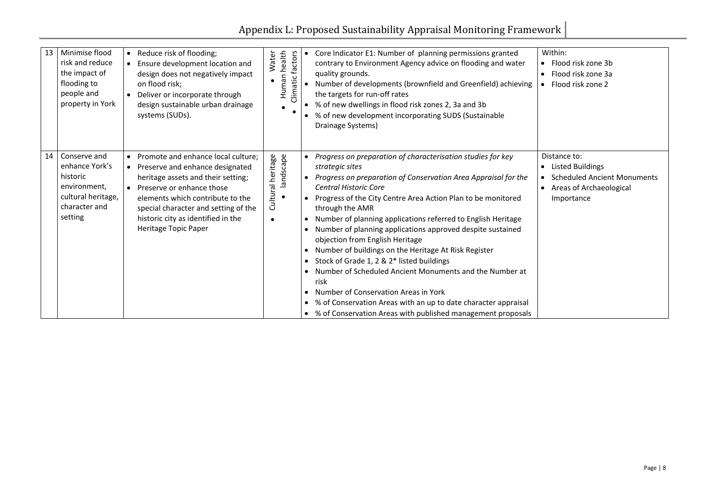| 13 | Minimise flood<br>risk and reduce<br>the impact of<br>flooding to<br>people and<br>property in York          | $\bullet$              | Reduce risk of flooding;<br>Ensure development location and<br>design does not negatively impact<br>on flood risk;<br>Deliver or incorporate through<br>design sustainable urban drainage<br>systems (SUDs).                                                                       | Water             | health<br>factors<br>Human<br>Climatic | Core Indicator E1: Number of planning permissions granted<br>$\bullet$<br>contrary to Environment Agency advice on flooding and water<br>quality grounds.<br>Number of developments (brownfield and Greenfield) achieving<br>the targets for run-off rates<br>% of new dwellings in flood risk zones 2, 3a and 3b<br>% of new development incorporating SUDS (Sustainable<br>$\bullet$<br>Drainage Systems)                                                                                                                                                                                                                                                                                                                                                                                                                               |
|----|--------------------------------------------------------------------------------------------------------------|------------------------|------------------------------------------------------------------------------------------------------------------------------------------------------------------------------------------------------------------------------------------------------------------------------------|-------------------|----------------------------------------|-------------------------------------------------------------------------------------------------------------------------------------------------------------------------------------------------------------------------------------------------------------------------------------------------------------------------------------------------------------------------------------------------------------------------------------------------------------------------------------------------------------------------------------------------------------------------------------------------------------------------------------------------------------------------------------------------------------------------------------------------------------------------------------------------------------------------------------------|
| 14 | Conserve and<br>enhance York's<br>historic<br>environment,<br>cultural heritage,<br>character and<br>setting | $\bullet$<br>$\bullet$ | Promote and enhance local culture;<br>Preserve and enhance designated<br>heritage assets and their setting;<br>Preserve or enhance those<br>elements which contribute to the<br>special character and setting of the<br>historic city as identified in the<br>Heritage Topic Paper | Cultural heritage | landscape                              | Progress on preparation of characterisation studies for key<br>$\bullet$<br>strategic sites<br>Progress on preparation of Conservation Area Appraisal for the<br>$\bullet$<br><b>Central Historic Core</b><br>Progress of the City Centre Area Action Plan to be monitored<br>through the AMR<br>Number of planning applications referred to English Heritage<br>Number of planning applications approved despite sustained<br>$\bullet$<br>objection from English Heritage<br>Number of buildings on the Heritage At Risk Register<br>$\bullet$<br>Stock of Grade 1, 2 & 2* listed buildings<br>Number of Scheduled Ancient Monuments and the Number at<br>risk<br>Number of Conservation Areas in York<br>% of Conservation Areas with an up to date character appraisal<br>% of Conservation Areas with published management proposals |

| ework                                                                                                                         |  |  |  |  |  |
|-------------------------------------------------------------------------------------------------------------------------------|--|--|--|--|--|
| Within:<br>Flood risk zone 3b<br>• Flood risk zone 3a<br>Flood risk zone 2                                                    |  |  |  |  |  |
| Distance to:<br><b>Listed Buildings</b><br><b>Scheduled Ancient Monuments</b><br><b>Areas of Archaeological</b><br>Importance |  |  |  |  |  |